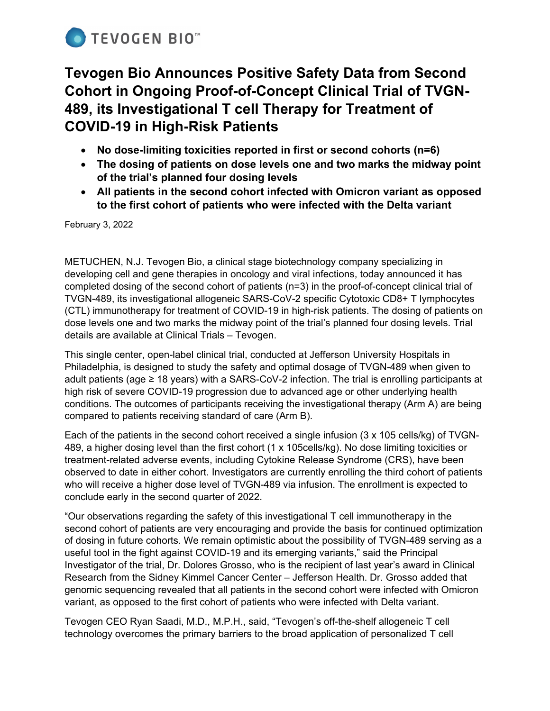

# **Tevogen Bio Announces Positive Safety Data from Second Cohort in Ongoing Proof-of-Concept Clinical Trial of TVGN-489, its Investigational T cell Therapy for Treatment of COVID-19 in High-Risk Patients**

- **No dose-limiting toxicities reported in first or second cohorts (n=6)**
- **The dosing of patients on dose levels one and two marks the midway point of the trial's planned four dosing levels**
- **All patients in the second cohort infected with Omicron variant as opposed to the first cohort of patients who were infected with the Delta variant**

February 3, 2022

METUCHEN, N.J. Tevogen Bio, a clinical stage biotechnology company specializing in developing cell and gene therapies in oncology and viral infections, today announced it has completed dosing of the second cohort of patients (n=3) in the proof-of-concept clinical trial of TVGN-489, its investigational allogeneic SARS-CoV-2 specific Cytotoxic CD8+ T lymphocytes (CTL) immunotherapy for treatment of COVID-19 in high-risk patients. The dosing of patients on dose levels one and two marks the midway point of the trial's planned four dosing levels. Trial details are available at Clinical Trials – Tevogen.

This single center, open-label clinical trial, conducted at Jefferson University Hospitals in Philadelphia, is designed to study the safety and optimal dosage of TVGN-489 when given to adult patients (age ≥ 18 years) with a SARS-CoV-2 infection. The trial is enrolling participants at high risk of severe COVID-19 progression due to advanced age or other underlying health conditions. The outcomes of participants receiving the investigational therapy (Arm A) are being compared to patients receiving standard of care (Arm B).

Each of the patients in the second cohort received a single infusion (3 x 105 cells/kg) of TVGN-489, a higher dosing level than the first cohort (1 x 105cells/kg). No dose limiting toxicities or treatment-related adverse events, including Cytokine Release Syndrome (CRS), have been observed to date in either cohort. Investigators are currently enrolling the third cohort of patients who will receive a higher dose level of TVGN-489 via infusion. The enrollment is expected to conclude early in the second quarter of 2022.

"Our observations regarding the safety of this investigational T cell immunotherapy in the second cohort of patients are very encouraging and provide the basis for continued optimization of dosing in future cohorts. We remain optimistic about the possibility of TVGN-489 serving as a useful tool in the fight against COVID-19 and its emerging variants," said the Principal Investigator of the trial, Dr. Dolores Grosso, who is the recipient of last year's award in Clinical Research from the Sidney Kimmel Cancer Center – Jefferson Health. Dr. Grosso added that genomic sequencing revealed that all patients in the second cohort were infected with Omicron variant, as opposed to the first cohort of patients who were infected with Delta variant.

Tevogen CEO Ryan Saadi, M.D., M.P.H., said, "Tevogen's off-the-shelf allogeneic T cell technology overcomes the primary barriers to the broad application of personalized T cell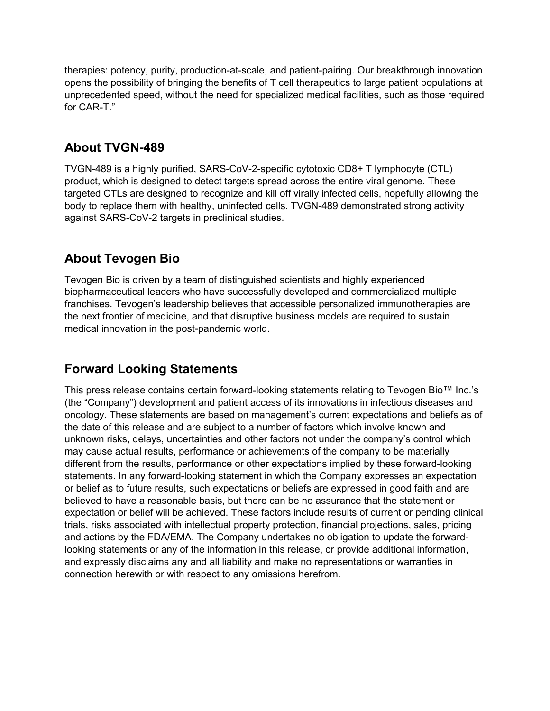therapies: potency, purity, production-at-scale, and patient-pairing. Our breakthrough innovation opens the possibility of bringing the benefits of T cell therapeutics to large patient populations at unprecedented speed, without the need for specialized medical facilities, such as those required for CAR-T"

### **About TVGN-489**

TVGN-489 is a highly purified, SARS-CoV-2-specific cytotoxic CD8+ T lymphocyte (CTL) product, which is designed to detect targets spread across the entire viral genome. These targeted CTLs are designed to recognize and kill off virally infected cells, hopefully allowing the body to replace them with healthy, uninfected cells. TVGN-489 demonstrated strong activity against SARS-CoV-2 targets in preclinical studies.

### **About Tevogen Bio**

Tevogen Bio is driven by a team of distinguished scientists and highly experienced biopharmaceutical leaders who have successfully developed and commercialized multiple franchises. Tevogen's leadership believes that accessible personalized immunotherapies are the next frontier of medicine, and that disruptive business models are required to sustain medical innovation in the post-pandemic world.

#### **Forward Looking Statements**

This press release contains certain forward-looking statements relating to Tevogen Bio™ Inc.'s (the "Company") development and patient access of its innovations in infectious diseases and oncology. These statements are based on management's current expectations and beliefs as of the date of this release and are subject to a number of factors which involve known and unknown risks, delays, uncertainties and other factors not under the company's control which may cause actual results, performance or achievements of the company to be materially different from the results, performance or other expectations implied by these forward-looking statements. In any forward-looking statement in which the Company expresses an expectation or belief as to future results, such expectations or beliefs are expressed in good faith and are believed to have a reasonable basis, but there can be no assurance that the statement or expectation or belief will be achieved. These factors include results of current or pending clinical trials, risks associated with intellectual property protection, financial projections, sales, pricing and actions by the FDA/EMA. The Company undertakes no obligation to update the forwardlooking statements or any of the information in this release, or provide additional information, and expressly disclaims any and all liability and make no representations or warranties in connection herewith or with respect to any omissions herefrom.